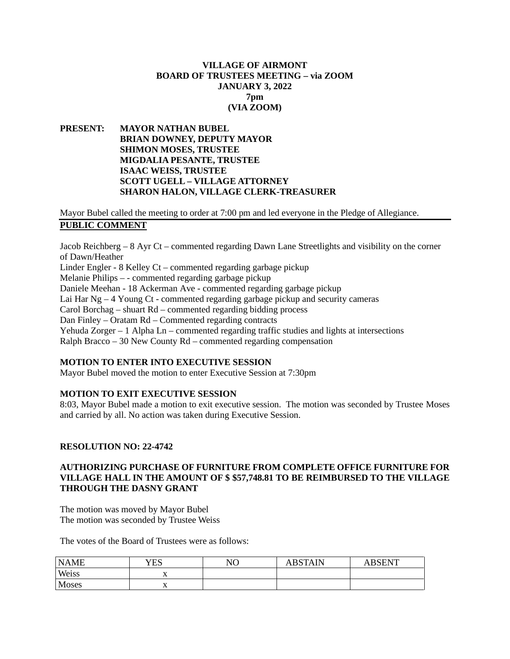# **VILLAGE OF AIRMONT BOARD OF TRUSTEES MEETING – via ZOOM JANUARY 3, 2022 7pm (VIA ZOOM)**

# **PRESENT: MAYOR NATHAN BUBEL BRIAN DOWNEY, DEPUTY MAYOR SHIMON MOSES, TRUSTEE MIGDALIA PESANTE, TRUSTEE ISAAC WEISS, TRUSTEE SCOTT UGELL – VILLAGE ATTORNEY SHARON HALON, VILLAGE CLERK-TREASURER**

Mayor Bubel called the meeting to order at 7:00 pm and led everyone in the Pledge of Allegiance. **PUBLIC COMMENT**

Jacob Reichberg – 8 Ayr Ct – commented regarding Dawn Lane Streetlights and visibility on the corner of Dawn/Heather Linder Engler - 8 Kelley Ct – commented regarding garbage pickup Melanie Philips – - commented regarding garbage pickup Daniele Meehan - 18 Ackerman Ave - commented regarding garbage pickup Lai Har  $Ng - 4$  Young Ct - commented regarding garbage pickup and security cameras Carol Borchag – shuart Rd – commented regarding bidding process Dan Finley – Oratam Rd – Commented regarding contracts Yehuda Zorger  $-1$  Alpha Ln – commented regarding traffic studies and lights at intersections Ralph Bracco – 30 New County Rd – commented regarding compensation

# **MOTION TO ENTER INTO EXECUTIVE SESSION**

Mayor Bubel moved the motion to enter Executive Session at 7:30pm

# **MOTION TO EXIT EXECUTIVE SESSION**

8:03, Mayor Bubel made a motion to exit executive session. The motion was seconded by Trustee Moses and carried by all. No action was taken during Executive Session.

# **RESOLUTION NO: 22-4742**

# **AUTHORIZING PURCHASE OF FURNITURE FROM COMPLETE OFFICE FURNITURE FOR VILLAGE HALL IN THE AMOUNT OF \$ \$57,748.81 TO BE REIMBURSED TO THE VILLAGE THROUGH THE DASNY GRANT**

The motion was moved by Mayor Bubel The motion was seconded by Trustee Weiss

The votes of the Board of Trustees were as follows:

| <b>NAME</b>  | YES            | NO | <b>ABSTAIN</b> | BSENT |
|--------------|----------------|----|----------------|-------|
| Weiss        | $\overline{A}$ |    |                |       |
| <b>Moses</b> | $\Delta$       |    |                |       |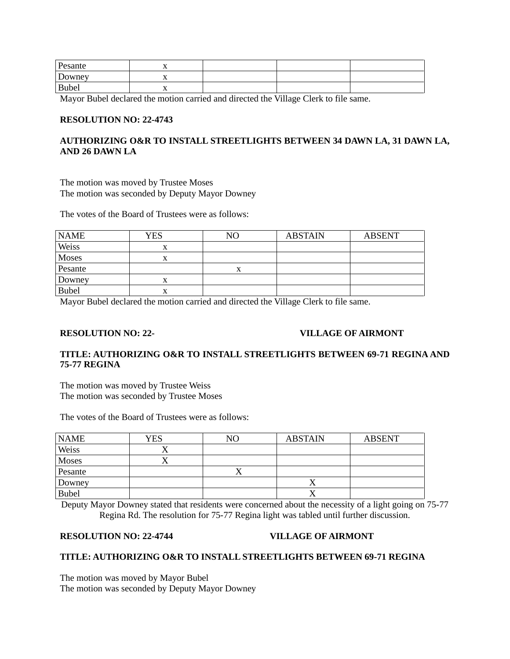| Pesante      | ∡⊾  |  |  |
|--------------|-----|--|--|
| Downey       | . . |  |  |
| <b>Bubel</b> | ∡⊾  |  |  |

Mayor Bubel declared the motion carried and directed the Village Clerk to file same.

## **RESOLUTION NO: 22-4743**

# **AUTHORIZING O&R TO INSTALL STREETLIGHTS BETWEEN 34 DAWN LA, 31 DAWN LA, AND 26 DAWN LA**

The motion was moved by Trustee Moses The motion was seconded by Deputy Mayor Downey

The votes of the Board of Trustees were as follows:

| <b>NAME</b>  | YES | NΟ | <b>ABSTAIN</b> | <b>ABSENT</b> |
|--------------|-----|----|----------------|---------------|
| Weiss        | x   |    |                |               |
| Moses        |     |    |                |               |
| Pesante      |     |    |                |               |
| Downey       | △   |    |                |               |
| <b>Bubel</b> | л   |    |                |               |

Mayor Bubel declared the motion carried and directed the Village Clerk to file same.

## **RESOLUTION NO: 22- VILLAGE OF AIRMONT**

# **TITLE: AUTHORIZING O&R TO INSTALL STREETLIGHTS BETWEEN 69-71 REGINA AND 75-77 REGINA**

The motion was moved by Trustee Weiss The motion was seconded by Trustee Moses

The votes of the Board of Trustees were as follows:

| <b>NAME</b>  | <b>YES</b> | NΟ | <b>ABSTAIN</b> | <b>ABSENT</b> |
|--------------|------------|----|----------------|---------------|
| Weiss        | ∕ \        |    |                |               |
| Moses        |            |    |                |               |
| Pesante      |            |    |                |               |
| Downey       |            |    |                |               |
| <b>Bubel</b> |            |    |                |               |

Deputy Mayor Downey stated that residents were concerned about the necessity of a light going on 75-77 Regina Rd. The resolution for 75-77 Regina light was tabled until further discussion.

#### **RESOLUTION NO: 22-4744 VILLAGE OF AIRMONT**

#### **TITLE: AUTHORIZING O&R TO INSTALL STREETLIGHTS BETWEEN 69-71 REGINA**

The motion was moved by Mayor Bubel The motion was seconded by Deputy Mayor Downey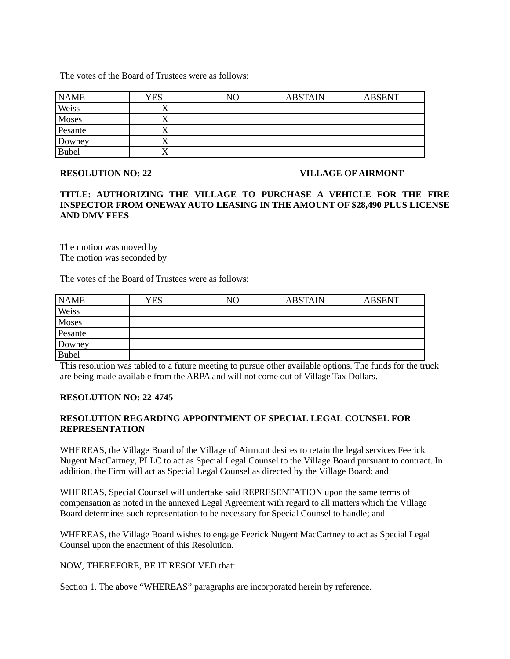The votes of the Board of Trustees were as follows:

| <b>NAME</b>  | YES       | NΟ | <b>ABSTAIN</b> | <b>ABSENT</b> |
|--------------|-----------|----|----------------|---------------|
| Weiss        |           |    |                |               |
| Moses        |           |    |                |               |
| Pesante      |           |    |                |               |
| Downey       | $\lambda$ |    |                |               |
| <b>Bubel</b> |           |    |                |               |

#### **RESOLUTION NO: 22- VILLAGE OF AIRMONT**

## **TITLE: AUTHORIZING THE VILLAGE TO PURCHASE A VEHICLE FOR THE FIRE INSPECTOR FROM ONEWAY AUTO LEASING IN THE AMOUNT OF \$28,490 PLUS LICENSE AND DMV FEES**

The motion was moved by The motion was seconded by

The votes of the Board of Trustees were as follows:

| <b>NAME</b>  | <b>YES</b> | NO | <b>ABSTAIN</b> | <b>ABSENT</b> |
|--------------|------------|----|----------------|---------------|
| Weiss        |            |    |                |               |
| <b>Moses</b> |            |    |                |               |
| Pesante      |            |    |                |               |
| Downey       |            |    |                |               |
| <b>Bubel</b> |            |    |                |               |

This resolution was tabled to a future meeting to pursue other available options. The funds for the truck are being made available from the ARPA and will not come out of Village Tax Dollars.

# **RESOLUTION NO: 22-4745**

# **RESOLUTION REGARDING APPOINTMENT OF SPECIAL LEGAL COUNSEL FOR REPRESENTATION**

WHEREAS, the Village Board of the Village of Airmont desires to retain the legal services Feerick Nugent MacCartney, PLLC to act as Special Legal Counsel to the Village Board pursuant to contract. In addition, the Firm will act as Special Legal Counsel as directed by the Village Board; and

WHEREAS, Special Counsel will undertake said REPRESENTATION upon the same terms of compensation as noted in the annexed Legal Agreement with regard to all matters which the Village Board determines such representation to be necessary for Special Counsel to handle; and

WHEREAS, the Village Board wishes to engage Feerick Nugent MacCartney to act as Special Legal Counsel upon the enactment of this Resolution.

NOW, THEREFORE, BE IT RESOLVED that:

Section 1. The above "WHEREAS" paragraphs are incorporated herein by reference.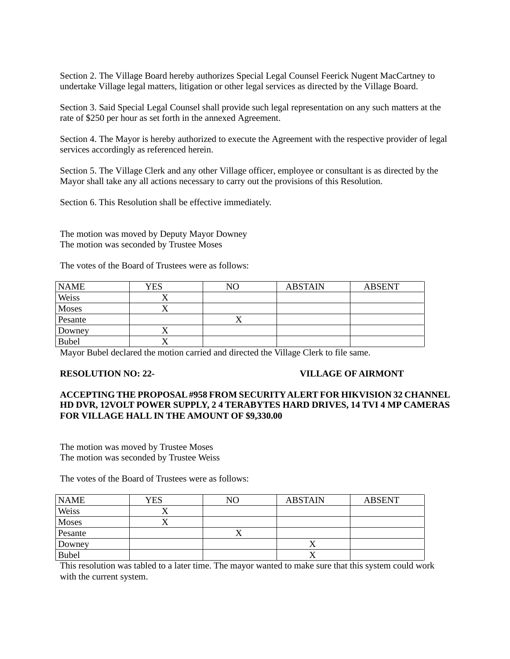Section 2. The Village Board hereby authorizes Special Legal Counsel Feerick Nugent MacCartney to undertake Village legal matters, litigation or other legal services as directed by the Village Board.

Section 3. Said Special Legal Counsel shall provide such legal representation on any such matters at the rate of \$250 per hour as set forth in the annexed Agreement.

Section 4. The Mayor is hereby authorized to execute the Agreement with the respective provider of legal services accordingly as referenced herein.

Section 5. The Village Clerk and any other Village officer, employee or consultant is as directed by the Mayor shall take any all actions necessary to carry out the provisions of this Resolution.

Section 6. This Resolution shall be effective immediately.

The motion was moved by Deputy Mayor Downey The motion was seconded by Trustee Moses

The votes of the Board of Trustees were as follows:

| <b>NAME</b>  | <b>YES</b> | NO | <b>ABSTAIN</b> | <b>ABSENT</b> |
|--------------|------------|----|----------------|---------------|
| Weiss        |            |    |                |               |
| Moses        |            |    |                |               |
| Pesante      |            | ∡⊾ |                |               |
| Downey       | $\lambda$  |    |                |               |
| <b>Bubel</b> | ⌒          |    |                |               |

Mayor Bubel declared the motion carried and directed the Village Clerk to file same.

#### **RESOLUTION NO: 22- VILLAGE OF AIRMONT**

## **ACCEPTING THE PROPOSAL #958 FROM SECURITY ALERT FOR HIKVISION 32 CHANNEL HD DVR, 12VOLT POWER SUPPLY, 2 4 TERABYTES HARD DRIVES, 14 TVI 4 MP CAMERAS FOR VILLAGE HALL IN THE AMOUNT OF \$9,330.00**

The motion was moved by Trustee Moses The motion was seconded by Trustee Weiss

The votes of the Board of Trustees were as follows:

| <b>NAME</b>  | YES | NΟ        | <b>ABSTAIN</b> | <b>ABSENT</b> |
|--------------|-----|-----------|----------------|---------------|
| Weiss        |     |           |                |               |
| Moses        |     |           |                |               |
| Pesante      |     | $\lambda$ |                |               |
| Downey       |     |           |                |               |
| <b>Bubel</b> |     |           |                |               |

This resolution was tabled to a later time. The mayor wanted to make sure that this system could work with the current system.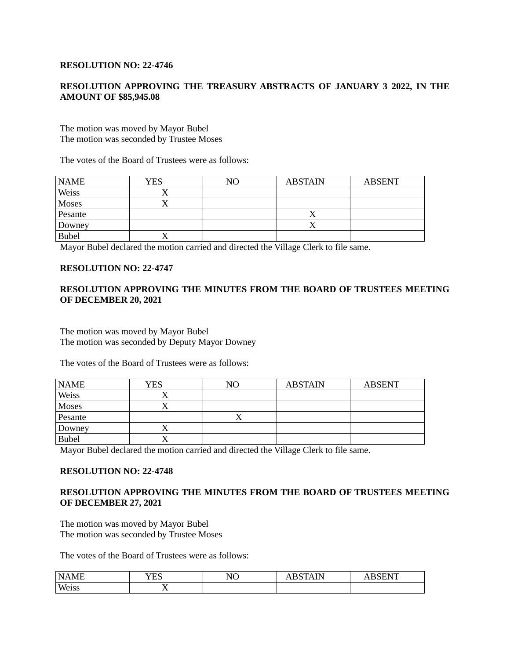### **RESOLUTION NO: 22-4746**

# **RESOLUTION APPROVING THE TREASURY ABSTRACTS OF JANUARY 3 2022, IN THE AMOUNT OF \$85,945.08**

The motion was moved by Mayor Bubel The motion was seconded by Trustee Moses

The votes of the Board of Trustees were as follows:

| <b>NAME</b>  | YES | NO | <b>ABSTAIN</b> | <b>ABSENT</b> |
|--------------|-----|----|----------------|---------------|
| Weiss        |     |    |                |               |
| Moses        |     |    |                |               |
| Pesante      |     |    | ↗              |               |
| Downey       |     |    |                |               |
| <b>Bubel</b> |     |    |                |               |

Mayor Bubel declared the motion carried and directed the Village Clerk to file same.

#### **RESOLUTION NO: 22-4747**

## **RESOLUTION APPROVING THE MINUTES FROM THE BOARD OF TRUSTEES MEETING OF DECEMBER 20, 2021**

The motion was moved by Mayor Bubel The motion was seconded by Deputy Mayor Downey

The votes of the Board of Trustees were as follows:

| <b>NAME</b>  | YES | NΟ | <b>ABSTAIN</b> | <b>ABSENT</b> |
|--------------|-----|----|----------------|---------------|
| Weiss        | ∕ \ |    |                |               |
| Moses        |     |    |                |               |
| Pesante      |     |    |                |               |
| Downey       |     |    |                |               |
| <b>Bubel</b> | 77  |    |                |               |

Mayor Bubel declared the motion carried and directed the Village Clerk to file same.

### **RESOLUTION NO: 22-4748**

# **RESOLUTION APPROVING THE MINUTES FROM THE BOARD OF TRUSTEES MEETING OF DECEMBER 27, 2021**

The motion was moved by Mayor Bubel The motion was seconded by Trustee Moses

The votes of the Board of Trustees were as follows:

| $N\Delta$<br>$\mathbf{r}$<br>. M±<br>. | T T T O<br>. .<br>1 L J | $\sqrt{10}$<br>N<br>11 U | <b>IN</b><br>$\overline{\phantom{a}}$<br>.<br>. | $\sim$ $\sim$ $\sim$ $\sim$ $\sim$<br>ำ∖บ |
|----------------------------------------|-------------------------|--------------------------|-------------------------------------------------|-------------------------------------------|
| Weiss<br>77 C L J J                    | $\overline{A}$<br>$ -$  |                          |                                                 |                                           |